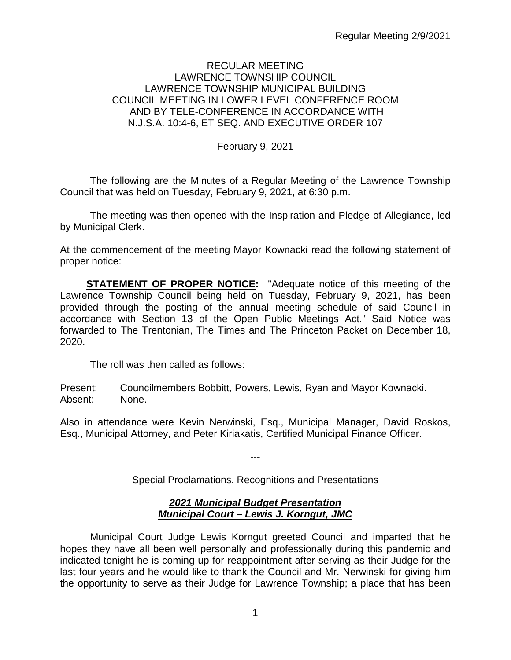### REGULAR MEETING LAWRENCE TOWNSHIP COUNCIL LAWRENCE TOWNSHIP MUNICIPAL BUILDING COUNCIL MEETING IN LOWER LEVEL CONFERENCE ROOM AND BY TELE-CONFERENCE IN ACCORDANCE WITH N.J.S.A. 10:4-6, ET SEQ. AND EXECUTIVE ORDER 107

February 9, 2021

The following are the Minutes of a Regular Meeting of the Lawrence Township Council that was held on Tuesday, February 9, 2021, at 6:30 p.m.

The meeting was then opened with the Inspiration and Pledge of Allegiance, led by Municipal Clerk.

At the commencement of the meeting Mayor Kownacki read the following statement of proper notice:

**STATEMENT OF PROPER NOTICE:** "Adequate notice of this meeting of the Lawrence Township Council being held on Tuesday, February 9, 2021, has been provided through the posting of the annual meeting schedule of said Council in accordance with Section 13 of the Open Public Meetings Act." Said Notice was forwarded to The Trentonian, The Times and The Princeton Packet on December 18, 2020.

The roll was then called as follows:

Present: Councilmembers Bobbitt, Powers, Lewis, Ryan and Mayor Kownacki. Absent: None.

Also in attendance were Kevin Nerwinski, Esq., Municipal Manager, David Roskos, Esq., Municipal Attorney, and Peter Kiriakatis, Certified Municipal Finance Officer.

> --- Special Proclamations, Recognitions and Presentations

### *2021 Municipal Budget Presentation Municipal Court – Lewis J. Korngut, JMC*

Municipal Court Judge Lewis Korngut greeted Council and imparted that he hopes they have all been well personally and professionally during this pandemic and indicated tonight he is coming up for reappointment after serving as their Judge for the last four years and he would like to thank the Council and Mr. Nerwinski for giving him the opportunity to serve as their Judge for Lawrence Township; a place that has been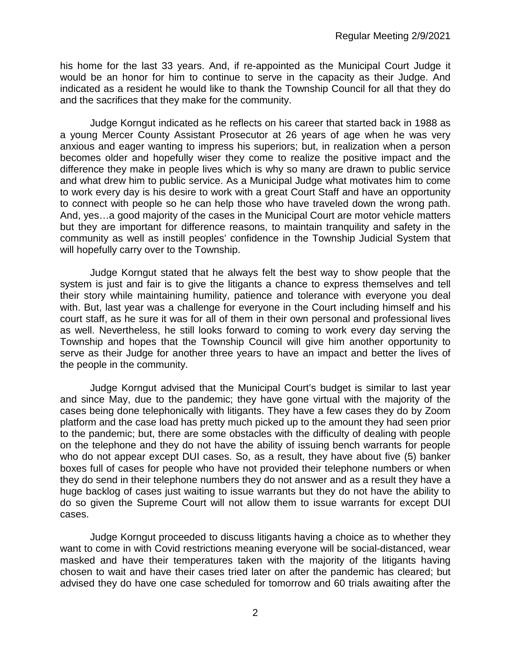his home for the last 33 years. And, if re-appointed as the Municipal Court Judge it would be an honor for him to continue to serve in the capacity as their Judge. And indicated as a resident he would like to thank the Township Council for all that they do and the sacrifices that they make for the community.

Judge Korngut indicated as he reflects on his career that started back in 1988 as a young Mercer County Assistant Prosecutor at 26 years of age when he was very anxious and eager wanting to impress his superiors; but, in realization when a person becomes older and hopefully wiser they come to realize the positive impact and the difference they make in people lives which is why so many are drawn to public service and what drew him to public service. As a Municipal Judge what motivates him to come to work every day is his desire to work with a great Court Staff and have an opportunity to connect with people so he can help those who have traveled down the wrong path. And, yes…a good majority of the cases in the Municipal Court are motor vehicle matters but they are important for difference reasons, to maintain tranquility and safety in the community as well as instill peoples' confidence in the Township Judicial System that will hopefully carry over to the Township.

Judge Korngut stated that he always felt the best way to show people that the system is just and fair is to give the litigants a chance to express themselves and tell their story while maintaining humility, patience and tolerance with everyone you deal with. But, last year was a challenge for everyone in the Court including himself and his court staff, as he sure it was for all of them in their own personal and professional lives as well. Nevertheless, he still looks forward to coming to work every day serving the Township and hopes that the Township Council will give him another opportunity to serve as their Judge for another three years to have an impact and better the lives of the people in the community.

Judge Korngut advised that the Municipal Court's budget is similar to last year and since May, due to the pandemic; they have gone virtual with the majority of the cases being done telephonically with litigants. They have a few cases they do by Zoom platform and the case load has pretty much picked up to the amount they had seen prior to the pandemic; but, there are some obstacles with the difficulty of dealing with people on the telephone and they do not have the ability of issuing bench warrants for people who do not appear except DUI cases. So, as a result, they have about five (5) banker boxes full of cases for people who have not provided their telephone numbers or when they do send in their telephone numbers they do not answer and as a result they have a huge backlog of cases just waiting to issue warrants but they do not have the ability to do so given the Supreme Court will not allow them to issue warrants for except DUI cases.

Judge Korngut proceeded to discuss litigants having a choice as to whether they want to come in with Covid restrictions meaning everyone will be social-distanced, wear masked and have their temperatures taken with the majority of the litigants having chosen to wait and have their cases tried later on after the pandemic has cleared; but advised they do have one case scheduled for tomorrow and 60 trials awaiting after the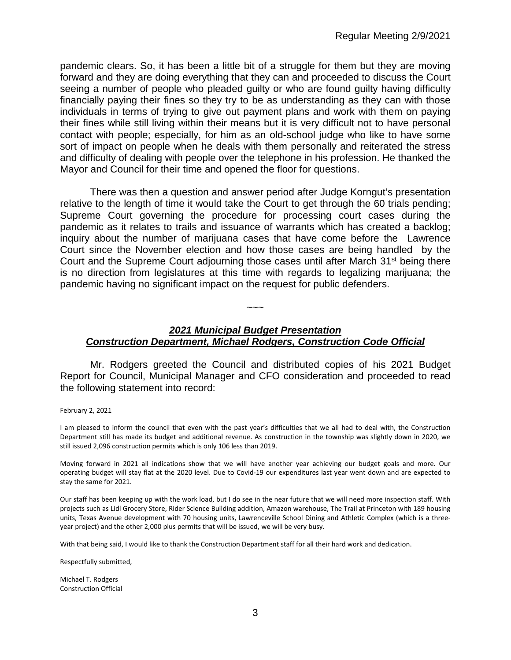pandemic clears. So, it has been a little bit of a struggle for them but they are moving forward and they are doing everything that they can and proceeded to discuss the Court seeing a number of people who pleaded guilty or who are found guilty having difficulty financially paying their fines so they try to be as understanding as they can with those individuals in terms of trying to give out payment plans and work with them on paying their fines while still living within their means but it is very difficult not to have personal contact with people; especially, for him as an old-school judge who like to have some sort of impact on people when he deals with them personally and reiterated the stress and difficulty of dealing with people over the telephone in his profession. He thanked the Mayor and Council for their time and opened the floor for questions.

There was then a question and answer period after Judge Korngut's presentation relative to the length of time it would take the Court to get through the 60 trials pending; Supreme Court governing the procedure for processing court cases during the pandemic as it relates to trails and issuance of warrants which has created a backlog; inquiry about the number of marijuana cases that have come before the Lawrence Court since the November election and how those cases are being handled by the Court and the Supreme Court adjourning those cases until after March 31<sup>st</sup> being there is no direction from legislatures at this time with regards to legalizing marijuana; the pandemic having no significant impact on the request for public defenders.

# *2021 Municipal Budget Presentation Construction Department, Michael Rodgers, Construction Code Official*

 $\sim\sim\sim$ 

Mr. Rodgers greeted the Council and distributed copies of his 2021 Budget Report for Council, Municipal Manager and CFO consideration and proceeded to read the following statement into record:

February 2, 2021

I am pleased to inform the council that even with the past year's difficulties that we all had to deal with, the Construction Department still has made its budget and additional revenue. As construction in the township was slightly down in 2020, we still issued 2,096 construction permits which is only 106 less than 2019.

Moving forward in 2021 all indications show that we will have another year achieving our budget goals and more. Our operating budget will stay flat at the 2020 level. Due to Covid-19 our expenditures last year went down and are expected to stay the same for 2021.

Our staff has been keeping up with the work load, but I do see in the near future that we will need more inspection staff. With projects such as Lidl Grocery Store, Rider Science Building addition, Amazon warehouse, The Trail at Princeton with 189 housing units, Texas Avenue development with 70 housing units, Lawrenceville School Dining and Athletic Complex (which is a threeyear project) and the other 2,000 plus permits that will be issued, we will be very busy.

With that being said, I would like to thank the Construction Department staff for all their hard work and dedication.

Respectfully submitted,

Michael T. Rodgers Construction Official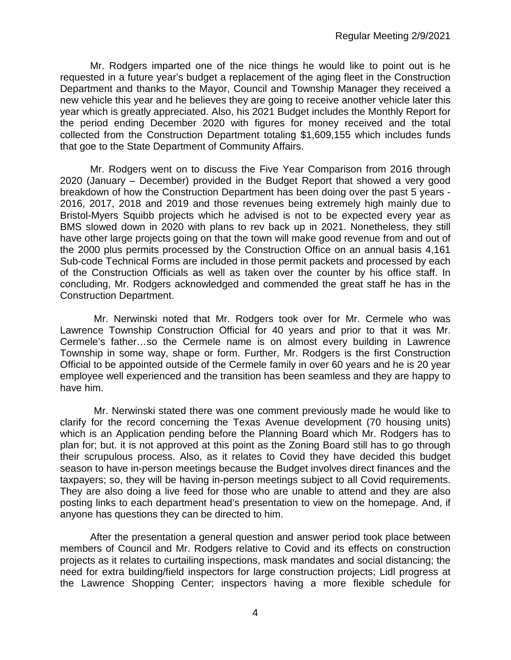Mr. Rodgers imparted one of the nice things he would like to point out is he requested in a future year's budget a replacement of the aging fleet in the Construction Department and thanks to the Mayor, Council and Township Manager they received a new vehicle this year and he believes they are going to receive another vehicle later this year which is greatly appreciated. Also, his 2021 Budget includes the Monthly Report for the period ending December 2020 with figures for money received and the total collected from the Construction Department totaling \$1,609,155 which includes funds that goe to the State Department of Community Affairs.

Mr. Rodgers went on to discuss the Five Year Comparison from 2016 through 2020 (January – December) provided in the Budget Report that showed a very good breakdown of how the Construction Department has been doing over the past 5 years - 2016, 2017, 2018 and 2019 and those revenues being extremely high mainly due to Bristol-Myers Squibb projects which he advised is not to be expected every year as BMS slowed down in 2020 with plans to rev back up in 2021. Nonetheless, they still have other large projects going on that the town will make good revenue from and out of the 2000 plus permits processed by the Construction Office on an annual basis 4,161 Sub-code Technical Forms are included in those permit packets and processed by each of the Construction Officials as well as taken over the counter by his office staff. In concluding, Mr. Rodgers acknowledged and commended the great staff he has in the Construction Department.

Mr. Nerwinski noted that Mr. Rodgers took over for Mr. Cermele who was Lawrence Township Construction Official for 40 years and prior to that it was Mr. Cermele's father…so the Cermele name is on almost every building in Lawrence Township in some way, shape or form. Further, Mr. Rodgers is the first Construction Official to be appointed outside of the Cermele family in over 60 years and he is 20 year employee well experienced and the transition has been seamless and they are happy to have him.

Mr. Nerwinski stated there was one comment previously made he would like to clarify for the record concerning the Texas Avenue development (70 housing units) which is an Application pending before the Planning Board which Mr. Rodgers has to plan for; but. it is not approved at this point as the Zoning Board still has to go through their scrupulous process. Also, as it relates to Covid they have decided this budget season to have in-person meetings because the Budget involves direct finances and the taxpayers; so, they will be having in-person meetings subject to all Covid requirements. They are also doing a live feed for those who are unable to attend and they are also posting links to each department head's presentation to view on the homepage. And, if anyone has questions they can be directed to him.

After the presentation a general question and answer period took place between members of Council and Mr. Rodgers relative to Covid and its effects on construction projects as it relates to curtailing inspections, mask mandates and social distancing; the need for extra building/field inspectors for large construction projects; Lidl progress at the Lawrence Shopping Center; inspectors having a more flexible schedule for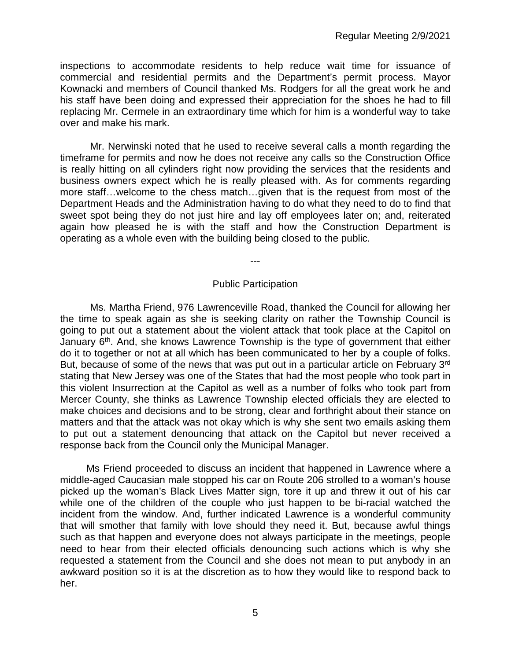inspections to accommodate residents to help reduce wait time for issuance of commercial and residential permits and the Department's permit process. Mayor Kownacki and members of Council thanked Ms. Rodgers for all the great work he and his staff have been doing and expressed their appreciation for the shoes he had to fill replacing Mr. Cermele in an extraordinary time which for him is a wonderful way to take over and make his mark.

Mr. Nerwinski noted that he used to receive several calls a month regarding the timeframe for permits and now he does not receive any calls so the Construction Office is really hitting on all cylinders right now providing the services that the residents and business owners expect which he is really pleased with. As for comments regarding more staff…welcome to the chess match…given that is the request from most of the Department Heads and the Administration having to do what they need to do to find that sweet spot being they do not just hire and lay off employees later on; and, reiterated again how pleased he is with the staff and how the Construction Department is operating as a whole even with the building being closed to the public.

---

## Public Participation

Ms. Martha Friend, 976 Lawrenceville Road, thanked the Council for allowing her the time to speak again as she is seeking clarity on rather the Township Council is going to put out a statement about the violent attack that took place at the Capitol on January  $6<sup>th</sup>$ . And, she knows Lawrence Township is the type of government that either do it to together or not at all which has been communicated to her by a couple of folks. But, because of some of the news that was put out in a particular article on February 3<sup>rd</sup> stating that New Jersey was one of the States that had the most people who took part in this violent Insurrection at the Capitol as well as a number of folks who took part from Mercer County, she thinks as Lawrence Township elected officials they are elected to make choices and decisions and to be strong, clear and forthright about their stance on matters and that the attack was not okay which is why she sent two emails asking them to put out a statement denouncing that attack on the Capitol but never received a response back from the Council only the Municipal Manager.

Ms Friend proceeded to discuss an incident that happened in Lawrence where a middle-aged Caucasian male stopped his car on Route 206 strolled to a woman's house picked up the woman's Black Lives Matter sign, tore it up and threw it out of his car while one of the children of the couple who just happen to be bi-racial watched the incident from the window. And, further indicated Lawrence is a wonderful community that will smother that family with love should they need it. But, because awful things such as that happen and everyone does not always participate in the meetings, people need to hear from their elected officials denouncing such actions which is why she requested a statement from the Council and she does not mean to put anybody in an awkward position so it is at the discretion as to how they would like to respond back to her.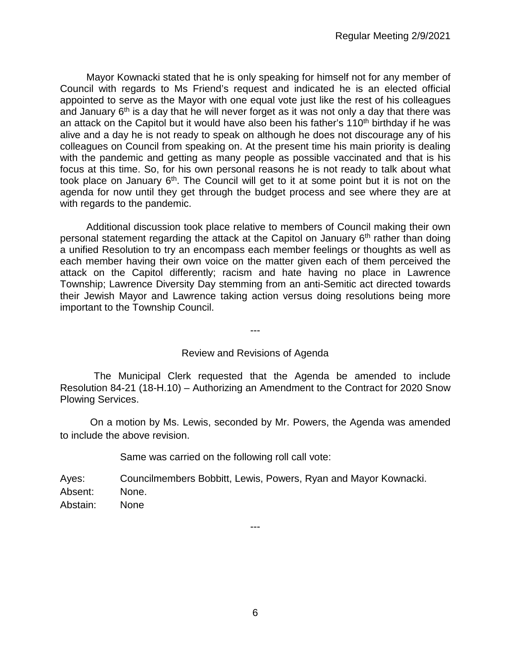Mayor Kownacki stated that he is only speaking for himself not for any member of Council with regards to Ms Friend's request and indicated he is an elected official appointed to serve as the Mayor with one equal vote just like the rest of his colleagues and January  $6<sup>th</sup>$  is a day that he will never forget as it was not only a day that there was an attack on the Capitol but it would have also been his father's 110<sup>th</sup> birthday if he was alive and a day he is not ready to speak on although he does not discourage any of his colleagues on Council from speaking on. At the present time his main priority is dealing with the pandemic and getting as many people as possible vaccinated and that is his focus at this time. So, for his own personal reasons he is not ready to talk about what took place on January  $6<sup>th</sup>$ . The Council will get to it at some point but it is not on the agenda for now until they get through the budget process and see where they are at with regards to the pandemic.

Additional discussion took place relative to members of Council making their own personal statement regarding the attack at the Capitol on January 6<sup>th</sup> rather than doing a unified Resolution to try an encompass each member feelings or thoughts as well as each member having their own voice on the matter given each of them perceived the attack on the Capitol differently; racism and hate having no place in Lawrence Township; Lawrence Diversity Day stemming from an anti-Semitic act directed towards their Jewish Mayor and Lawrence taking action versus doing resolutions being more important to the Township Council.

---

### Review and Revisions of Agenda

The Municipal Clerk requested that the Agenda be amended to include Resolution 84-21 (18-H.10) – Authorizing an Amendment to the Contract for 2020 Snow Plowing Services.

On a motion by Ms. Lewis, seconded by Mr. Powers, the Agenda was amended to include the above revision.

Same was carried on the following roll call vote:

Ayes: Councilmembers Bobbitt, Lewis, Powers, Ryan and Mayor Kownacki. Absent: None. Abstain: None

---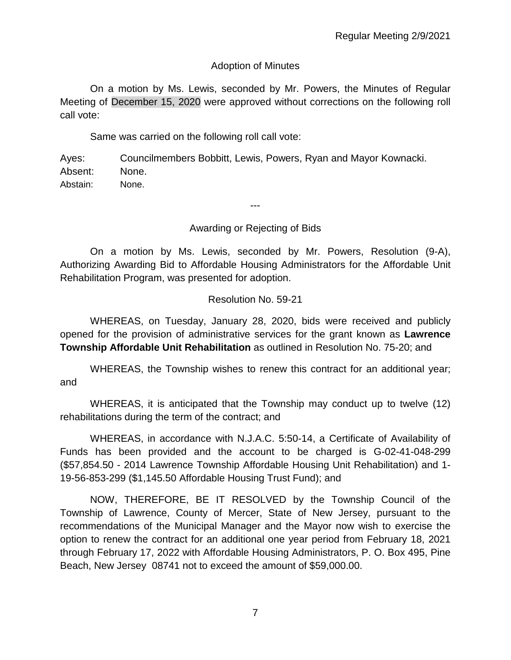# Adoption of Minutes

On a motion by Ms. Lewis, seconded by Mr. Powers, the Minutes of Regular Meeting of December 15, 2020 were approved without corrections on the following roll call vote:

Same was carried on the following roll call vote:

Ayes: Councilmembers Bobbitt, Lewis, Powers, Ryan and Mayor Kownacki. Absent: None. Abstain: None.

Awarding or Rejecting of Bids

---

On a motion by Ms. Lewis, seconded by Mr. Powers, Resolution (9-A), Authorizing Awarding Bid to Affordable Housing Administrators for the Affordable Unit Rehabilitation Program, was presented for adoption.

# Resolution No. 59-21

WHEREAS, on Tuesday, January 28, 2020, bids were received and publicly opened for the provision of administrative services for the grant known as **Lawrence Township Affordable Unit Rehabilitation** as outlined in Resolution No. 75-20; and

WHEREAS, the Township wishes to renew this contract for an additional year; and

WHEREAS, it is anticipated that the Township may conduct up to twelve (12) rehabilitations during the term of the contract; and

WHEREAS, in accordance with N.J.A.C. 5:50-14, a Certificate of Availability of Funds has been provided and the account to be charged is G-02-41-048-299 (\$57,854.50 - 2014 Lawrence Township Affordable Housing Unit Rehabilitation) and 1- 19-56-853-299 (\$1,145.50 Affordable Housing Trust Fund); and

NOW, THEREFORE, BE IT RESOLVED by the Township Council of the Township of Lawrence, County of Mercer, State of New Jersey, pursuant to the recommendations of the Municipal Manager and the Mayor now wish to exercise the option to renew the contract for an additional one year period from February 18, 2021 through February 17, 2022 with Affordable Housing Administrators, P. O. Box 495, Pine Beach, New Jersey 08741 not to exceed the amount of \$59,000.00.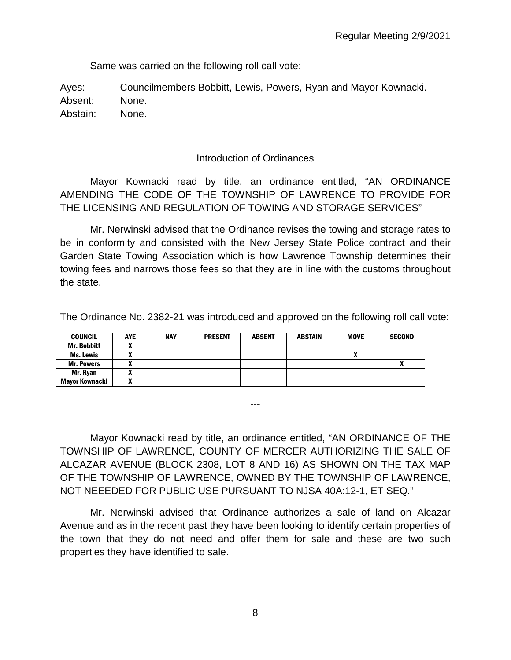Same was carried on the following roll call vote:

Ayes: Councilmembers Bobbitt, Lewis, Powers, Ryan and Mayor Kownacki. Absent: None. Abstain: None.

---

# Introduction of Ordinances

Mayor Kownacki read by title, an ordinance entitled, "AN ORDINANCE AMENDING THE CODE OF THE TOWNSHIP OF LAWRENCE TO PROVIDE FOR THE LICENSING AND REGULATION OF TOWING AND STORAGE SERVICES"

Mr. Nerwinski advised that the Ordinance revises the towing and storage rates to be in conformity and consisted with the New Jersey State Police contract and their Garden State Towing Association which is how Lawrence Township determines their towing fees and narrows those fees so that they are in line with the customs throughout the state.

The Ordinance No. 2382-21 was introduced and approved on the following roll call vote:

| <b>COUNCIL</b>        | <b>AYE</b> | <b>NAY</b> | <b>PRESENT</b> | <b>ABSENT</b> | <b>ABSTAIN</b> | <b>MOVE</b> | <b>SECOND</b> |
|-----------------------|------------|------------|----------------|---------------|----------------|-------------|---------------|
| <b>Mr. Bobbitt</b>    |            |            |                |               |                |             |               |
| Ms. Lewis             |            |            |                |               |                |             |               |
| <b>Mr. Powers</b>     |            |            |                |               |                |             |               |
| Mr. Rvan              |            |            |                |               |                |             |               |
| <b>Mavor Kownacki</b> | ~          |            |                |               |                |             |               |

Mayor Kownacki read by title, an ordinance entitled, "AN ORDINANCE OF THE TOWNSHIP OF LAWRENCE, COUNTY OF MERCER AUTHORIZING THE SALE OF ALCAZAR AVENUE (BLOCK 2308, LOT 8 AND 16) AS SHOWN ON THE TAX MAP OF THE TOWNSHIP OF LAWRENCE, OWNED BY THE TOWNSHIP OF LAWRENCE, NOT NEEEDED FOR PUBLIC USE PURSUANT TO NJSA 40A:12-1, ET SEQ."

---

Mr. Nerwinski advised that Ordinance authorizes a sale of land on Alcazar Avenue and as in the recent past they have been looking to identify certain properties of the town that they do not need and offer them for sale and these are two such properties they have identified to sale.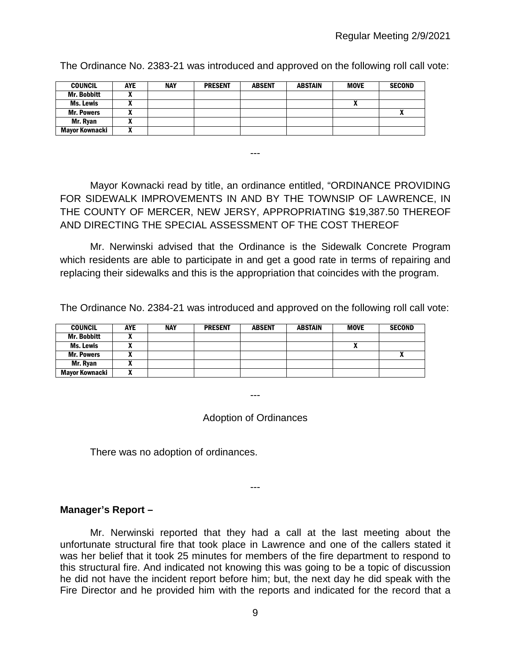| <b>COUNCIL</b>     | AYE | NAY | <b>PRESENT</b> | <b>ABSENT</b> | <b>ABSTAIN</b> | <b>MOVE</b> | <b>SECOND</b>            |
|--------------------|-----|-----|----------------|---------------|----------------|-------------|--------------------------|
| <b>Mr. Bobbitt</b> |     |     |                |               |                |             |                          |
| Ms. Lewis          |     |     |                |               |                | "           |                          |
| <b>Mr. Powers</b>  |     |     |                |               |                |             | $\overline{\phantom{a}}$ |
| Mr. Ryan           |     |     |                |               |                |             |                          |
| Mayor Kownacki     |     |     |                |               |                |             |                          |

The Ordinance No. 2383-21 was introduced and approved on the following roll call vote:

Mayor Kownacki read by title, an ordinance entitled, "ORDINANCE PROVIDING FOR SIDEWALK IMPROVEMENTS IN AND BY THE TOWNSIP OF LAWRENCE, IN THE COUNTY OF MERCER, NEW JERSY, APPROPRIATING \$19,387.50 THEREOF AND DIRECTING THE SPECIAL ASSESSMENT OF THE COST THEREOF

---

Mr. Nerwinski advised that the Ordinance is the Sidewalk Concrete Program which residents are able to participate in and get a good rate in terms of repairing and replacing their sidewalks and this is the appropriation that coincides with the program.

The Ordinance No. 2384-21 was introduced and approved on the following roll call vote:

| <b>COUNCIL</b>     | <b>AYE</b> | <b>NAY</b> | <b>PRESENT</b> | <b>ABSENT</b> | <b>ABSTAIN</b> | <b>MOVE</b> | <b>SECOND</b> |
|--------------------|------------|------------|----------------|---------------|----------------|-------------|---------------|
| <b>Mr. Bobbitt</b> |            |            |                |               |                |             |               |
| Ms. Lewis          |            |            |                |               |                | ,,,         |               |
| <b>Mr. Powers</b>  |            |            |                |               |                |             |               |
| Mr. Ryan           |            |            |                |               |                |             |               |
| Mayor Kownacki     |            |            |                |               |                |             |               |

---

Adoption of Ordinances

There was no adoption of ordinances.

#### ---

### **Manager's Report –**

Mr. Nerwinski reported that they had a call at the last meeting about the unfortunate structural fire that took place in Lawrence and one of the callers stated it was her belief that it took 25 minutes for members of the fire department to respond to this structural fire. And indicated not knowing this was going to be a topic of discussion he did not have the incident report before him; but, the next day he did speak with the Fire Director and he provided him with the reports and indicated for the record that a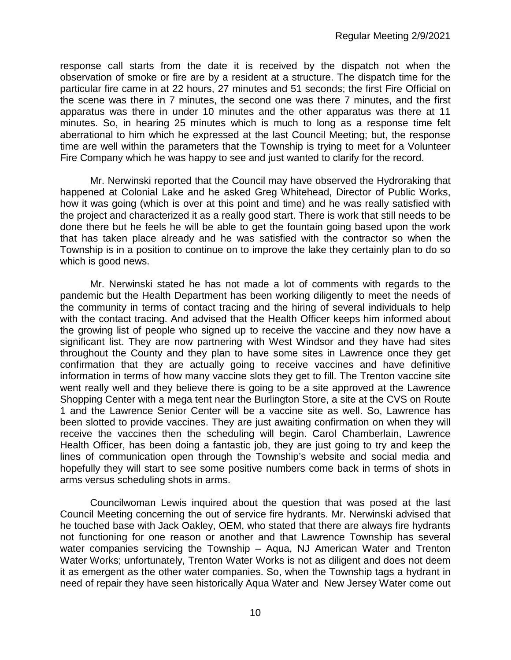response call starts from the date it is received by the dispatch not when the observation of smoke or fire are by a resident at a structure. The dispatch time for the particular fire came in at 22 hours, 27 minutes and 51 seconds; the first Fire Official on the scene was there in 7 minutes, the second one was there 7 minutes, and the first apparatus was there in under 10 minutes and the other apparatus was there at 11 minutes. So, in hearing 25 minutes which is much to long as a response time felt aberrational to him which he expressed at the last Council Meeting; but, the response time are well within the parameters that the Township is trying to meet for a Volunteer Fire Company which he was happy to see and just wanted to clarify for the record.

Mr. Nerwinski reported that the Council may have observed the Hydroraking that happened at Colonial Lake and he asked Greg Whitehead, Director of Public Works, how it was going (which is over at this point and time) and he was really satisfied with the project and characterized it as a really good start. There is work that still needs to be done there but he feels he will be able to get the fountain going based upon the work that has taken place already and he was satisfied with the contractor so when the Township is in a position to continue on to improve the lake they certainly plan to do so which is good news.

Mr. Nerwinski stated he has not made a lot of comments with regards to the pandemic but the Health Department has been working diligently to meet the needs of the community in terms of contact tracing and the hiring of several individuals to help with the contact tracing. And advised that the Health Officer keeps him informed about the growing list of people who signed up to receive the vaccine and they now have a significant list. They are now partnering with West Windsor and they have had sites throughout the County and they plan to have some sites in Lawrence once they get confirmation that they are actually going to receive vaccines and have definitive information in terms of how many vaccine slots they get to fill. The Trenton vaccine site went really well and they believe there is going to be a site approved at the Lawrence Shopping Center with a mega tent near the Burlington Store, a site at the CVS on Route 1 and the Lawrence Senior Center will be a vaccine site as well. So, Lawrence has been slotted to provide vaccines. They are just awaiting confirmation on when they will receive the vaccines then the scheduling will begin. Carol Chamberlain, Lawrence Health Officer, has been doing a fantastic job, they are just going to try and keep the lines of communication open through the Township's website and social media and hopefully they will start to see some positive numbers come back in terms of shots in arms versus scheduling shots in arms.

Councilwoman Lewis inquired about the question that was posed at the last Council Meeting concerning the out of service fire hydrants. Mr. Nerwinski advised that he touched base with Jack Oakley, OEM, who stated that there are always fire hydrants not functioning for one reason or another and that Lawrence Township has several water companies servicing the Township – Aqua, NJ American Water and Trenton Water Works; unfortunately, Trenton Water Works is not as diligent and does not deem it as emergent as the other water companies. So, when the Township tags a hydrant in need of repair they have seen historically Aqua Water and New Jersey Water come out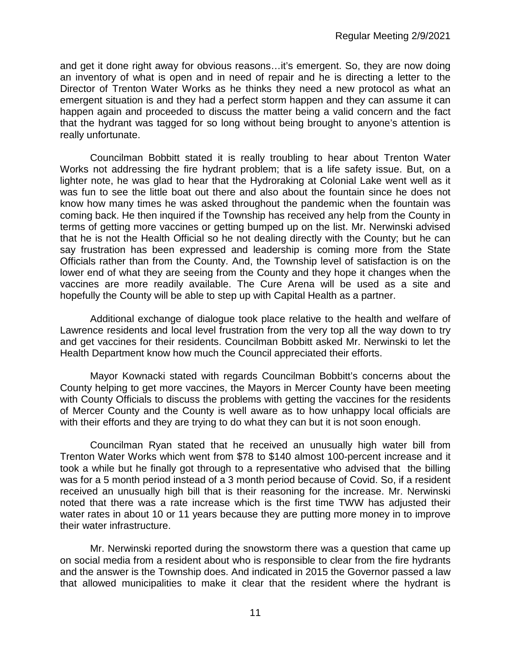and get it done right away for obvious reasons…it's emergent. So, they are now doing an inventory of what is open and in need of repair and he is directing a letter to the Director of Trenton Water Works as he thinks they need a new protocol as what an emergent situation is and they had a perfect storm happen and they can assume it can happen again and proceeded to discuss the matter being a valid concern and the fact that the hydrant was tagged for so long without being brought to anyone's attention is really unfortunate.

Councilman Bobbitt stated it is really troubling to hear about Trenton Water Works not addressing the fire hydrant problem; that is a life safety issue. But, on a lighter note, he was glad to hear that the Hydroraking at Colonial Lake went well as it was fun to see the little boat out there and also about the fountain since he does not know how many times he was asked throughout the pandemic when the fountain was coming back. He then inquired if the Township has received any help from the County in terms of getting more vaccines or getting bumped up on the list. Mr. Nerwinski advised that he is not the Health Official so he not dealing directly with the County; but he can say frustration has been expressed and leadership is coming more from the State Officials rather than from the County. And, the Township level of satisfaction is on the lower end of what they are seeing from the County and they hope it changes when the vaccines are more readily available. The Cure Arena will be used as a site and hopefully the County will be able to step up with Capital Health as a partner.

Additional exchange of dialogue took place relative to the health and welfare of Lawrence residents and local level frustration from the very top all the way down to try and get vaccines for their residents. Councilman Bobbitt asked Mr. Nerwinski to let the Health Department know how much the Council appreciated their efforts.

Mayor Kownacki stated with regards Councilman Bobbitt's concerns about the County helping to get more vaccines, the Mayors in Mercer County have been meeting with County Officials to discuss the problems with getting the vaccines for the residents of Mercer County and the County is well aware as to how unhappy local officials are with their efforts and they are trying to do what they can but it is not soon enough.

Councilman Ryan stated that he received an unusually high water bill from Trenton Water Works which went from \$78 to \$140 almost 100-percent increase and it took a while but he finally got through to a representative who advised that the billing was for a 5 month period instead of a 3 month period because of Covid. So, if a resident received an unusually high bill that is their reasoning for the increase. Mr. Nerwinski noted that there was a rate increase which is the first time TWW has adjusted their water rates in about 10 or 11 years because they are putting more money in to improve their water infrastructure.

Mr. Nerwinski reported during the snowstorm there was a question that came up on social media from a resident about who is responsible to clear from the fire hydrants and the answer is the Township does. And indicated in 2015 the Governor passed a law that allowed municipalities to make it clear that the resident where the hydrant is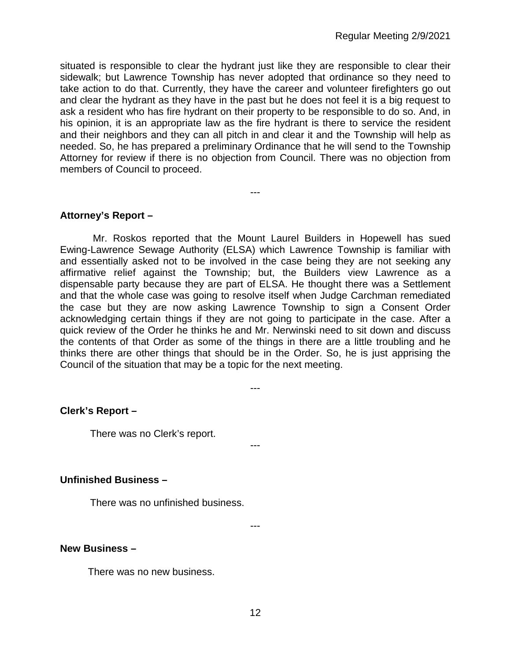situated is responsible to clear the hydrant just like they are responsible to clear their sidewalk; but Lawrence Township has never adopted that ordinance so they need to take action to do that. Currently, they have the career and volunteer firefighters go out and clear the hydrant as they have in the past but he does not feel it is a big request to ask a resident who has fire hydrant on their property to be responsible to do so. And, in his opinion, it is an appropriate law as the fire hydrant is there to service the resident and their neighbors and they can all pitch in and clear it and the Township will help as needed. So, he has prepared a preliminary Ordinance that he will send to the Township Attorney for review if there is no objection from Council. There was no objection from members of Council to proceed.

---

### **Attorney's Report –**

Mr. Roskos reported that the Mount Laurel Builders in Hopewell has sued Ewing-Lawrence Sewage Authority (ELSA) which Lawrence Township is familiar with and essentially asked not to be involved in the case being they are not seeking any affirmative relief against the Township; but, the Builders view Lawrence as a dispensable party because they are part of ELSA. He thought there was a Settlement and that the whole case was going to resolve itself when Judge Carchman remediated the case but they are now asking Lawrence Township to sign a Consent Order acknowledging certain things if they are not going to participate in the case. After a quick review of the Order he thinks he and Mr. Nerwinski need to sit down and discuss the contents of that Order as some of the things in there are a little troubling and he thinks there are other things that should be in the Order. So, he is just apprising the Council of the situation that may be a topic for the next meeting.

---

---

### **Clerk's Report –**

There was no Clerk's report.

#### **Unfinished Business –**

There was no unfinished business.

---

#### **New Business –**

There was no new business.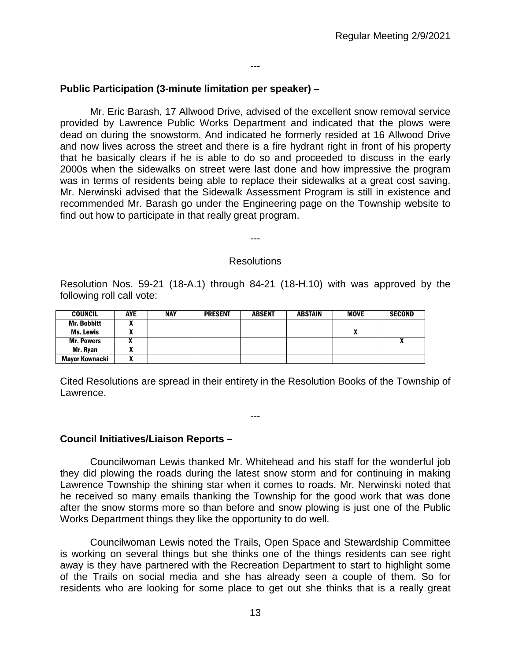### ---

## **Public Participation (3-minute limitation per speaker)** –

Mr. Eric Barash, 17 Allwood Drive, advised of the excellent snow removal service provided by Lawrence Public Works Department and indicated that the plows were dead on during the snowstorm. And indicated he formerly resided at 16 Allwood Drive and now lives across the street and there is a fire hydrant right in front of his property that he basically clears if he is able to do so and proceeded to discuss in the early 2000s when the sidewalks on street were last done and how impressive the program was in terms of residents being able to replace their sidewalks at a great cost saving. Mr. Nerwinski advised that the Sidewalk Assessment Program is still in existence and recommended Mr. Barash go under the Engineering page on the Township website to find out how to participate in that really great program.

---

#### Resolutions

Resolution Nos. 59-21 (18-A.1) through 84-21 (18-H.10) with was approved by the following roll call vote:

| <b>COUNCIL</b>        | AYE | <b>NAY</b> | <b>PRESENT</b> | <b>ABSENT</b> | <b>ABSTAIN</b> | <b>MOVE</b> | <b>SECOND</b> |
|-----------------------|-----|------------|----------------|---------------|----------------|-------------|---------------|
| <b>Mr. Bobbitt</b>    |     |            |                |               |                |             |               |
| <b>Ms. Lewis</b>      |     |            |                |               |                | n           |               |
| <b>Mr. Powers</b>     |     |            |                |               |                |             |               |
| Mr. Ryan              |     |            |                |               |                |             |               |
| <b>Mayor Kownacki</b> |     |            |                |               |                |             |               |

Cited Resolutions are spread in their entirety in the Resolution Books of the Township of Lawrence.

---

### **Council Initiatives/Liaison Reports –**

Councilwoman Lewis thanked Mr. Whitehead and his staff for the wonderful job they did plowing the roads during the latest snow storm and for continuing in making Lawrence Township the shining star when it comes to roads. Mr. Nerwinski noted that he received so many emails thanking the Township for the good work that was done after the snow storms more so than before and snow plowing is just one of the Public Works Department things they like the opportunity to do well.

Councilwoman Lewis noted the Trails, Open Space and Stewardship Committee is working on several things but she thinks one of the things residents can see right away is they have partnered with the Recreation Department to start to highlight some of the Trails on social media and she has already seen a couple of them. So for residents who are looking for some place to get out she thinks that is a really great